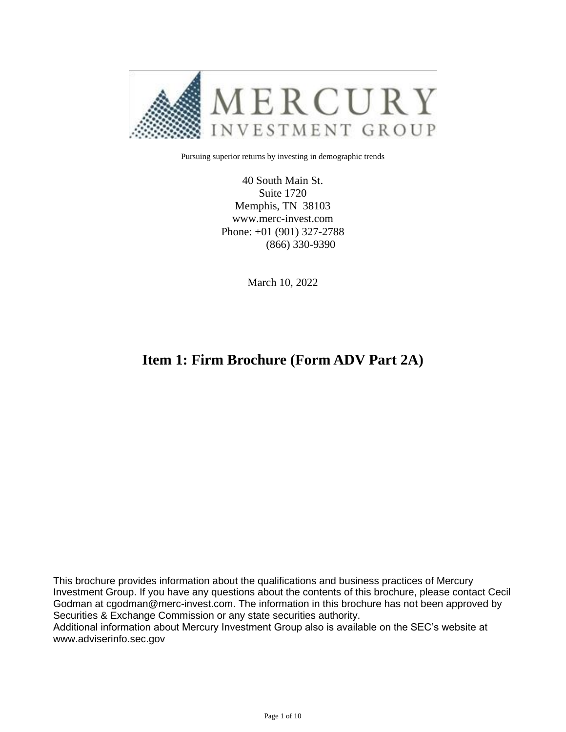

Pursuing superior returns by investing in demographic trends

40 South Main St. Suite 1720 Memphis, TN 38103 www.merc-invest.com Phone: +01 (901) 327-2788 (866) 330-9390

March 10, 2022

### **Item 1: Firm Brochure (Form ADV Part 2A)**

This brochure provides information about the qualifications and business practices of Mercury Investment Group. If you have any questions about the contents of this brochure, please contact Cecil Godman at cgodman@merc-invest.com. The information in this brochure has not been approved by Securities & Exchange Commission or any state securities authority.

Additional information about Mercury Investment Group also is available on the SEC's website at www.adviserinfo.sec.gov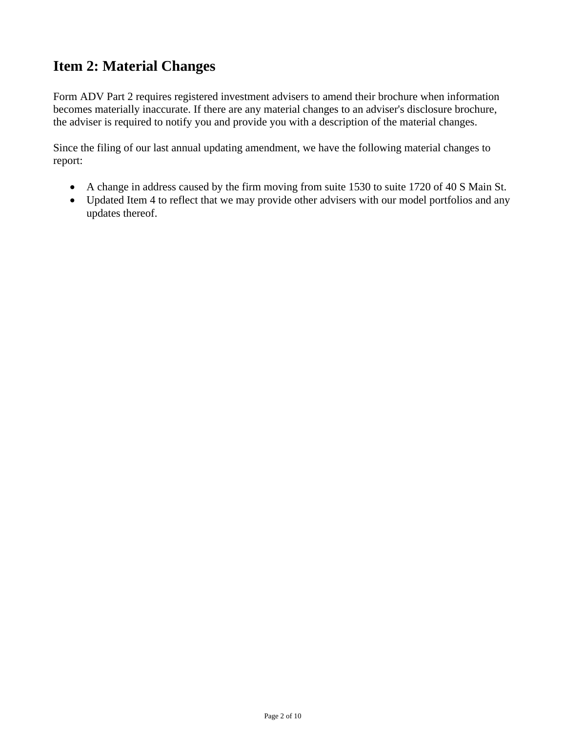## **Item 2: Material Changes**

Form ADV Part 2 requires registered investment advisers to amend their brochure when information becomes materially inaccurate. If there are any material changes to an adviser's disclosure brochure, the adviser is required to notify you and provide you with a description of the material changes.

Since the filing of our last annual updating amendment, we have the following material changes to report:

- A change in address caused by the firm moving from suite 1530 to suite 1720 of 40 S Main St.
- Updated Item 4 to reflect that we may provide other advisers with our model portfolios and any updates thereof.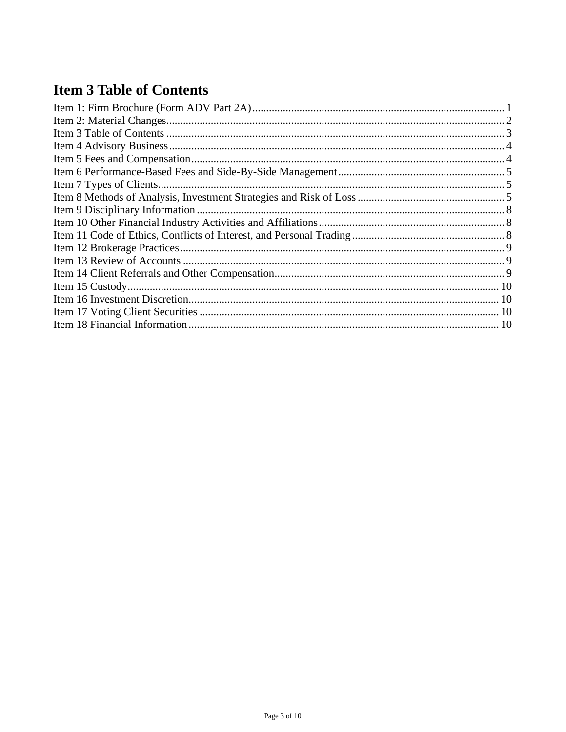# **Item 3 Table of Contents**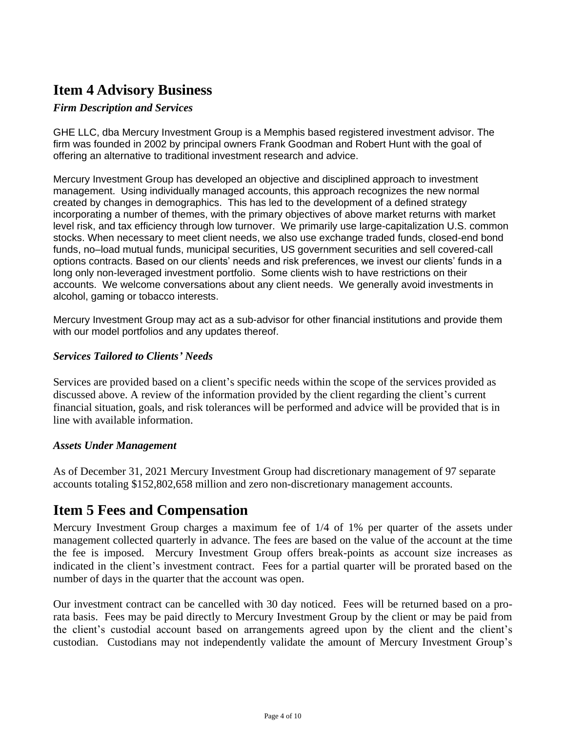## **Item 4 Advisory Business**

#### *Firm Description and Services*

GHE LLC, dba Mercury Investment Group is a Memphis based registered investment advisor. The firm was founded in 2002 by principal owners Frank Goodman and Robert Hunt with the goal of offering an alternative to traditional investment research and advice.

Mercury Investment Group has developed an objective and disciplined approach to investment management. Using individually managed accounts, this approach recognizes the new normal created by changes in demographics. This has led to the development of a defined strategy incorporating a number of themes, with the primary objectives of above market returns with market level risk, and tax efficiency through low turnover. We primarily use large-capitalization U.S. common stocks. When necessary to meet client needs, we also use exchange traded funds, closed-end bond funds, no–load mutual funds, municipal securities, US government securities and sell covered-call options contracts. Based on our clients' needs and risk preferences, we invest our clients' funds in a long only non-leveraged investment portfolio. Some clients wish to have restrictions on their accounts. We welcome conversations about any client needs. We generally avoid investments in alcohol, gaming or tobacco interests.

Mercury Investment Group may act as a sub-advisor for other financial institutions and provide them with our model portfolios and any updates thereof.

#### *Services Tailored to Clients' Needs*

Services are provided based on a client's specific needs within the scope of the services provided as discussed above. A review of the information provided by the client regarding the client's current financial situation, goals, and risk tolerances will be performed and advice will be provided that is in line with available information.

#### *Assets Under Management*

As of December 31, 2021 Mercury Investment Group had discretionary management of 97 separate accounts totaling \$152,802,658 million and zero non-discretionary management accounts.

### **Item 5 Fees and Compensation**

Mercury Investment Group charges a maximum fee of 1/4 of 1% per quarter of the assets under management collected quarterly in advance. The fees are based on the value of the account at the time the fee is imposed. Mercury Investment Group offers break-points as account size increases as indicated in the client's investment contract. Fees for a partial quarter will be prorated based on the number of days in the quarter that the account was open.

Our investment contract can be cancelled with 30 day noticed. Fees will be returned based on a prorata basis. Fees may be paid directly to Mercury Investment Group by the client or may be paid from the client's custodial account based on arrangements agreed upon by the client and the client's custodian. Custodians may not independently validate the amount of Mercury Investment Group's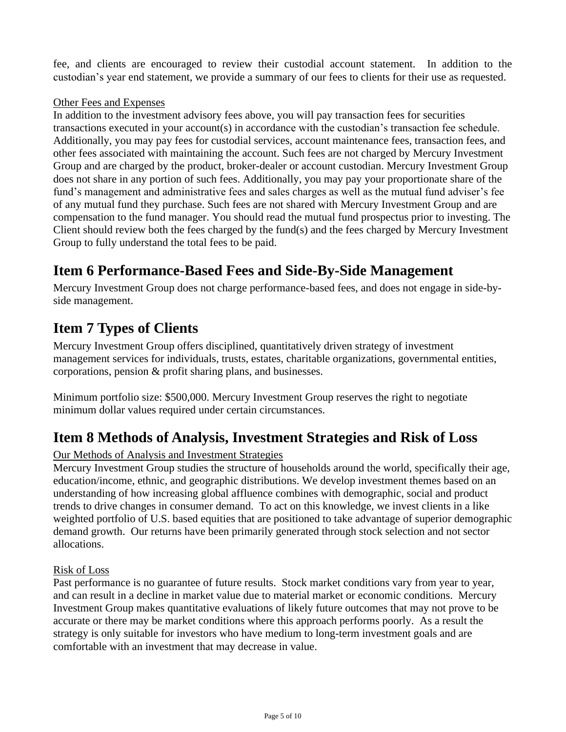fee, and clients are encouraged to review their custodial account statement. In addition to the custodian's year end statement, we provide a summary of our fees to clients for their use as requested.

#### Other Fees and Expenses

In addition to the investment advisory fees above, you will pay transaction fees for securities transactions executed in your account(s) in accordance with the custodian's transaction fee schedule. Additionally, you may pay fees for custodial services, account maintenance fees, transaction fees, and other fees associated with maintaining the account. Such fees are not charged by Mercury Investment Group and are charged by the product, broker-dealer or account custodian. Mercury Investment Group does not share in any portion of such fees. Additionally, you may pay your proportionate share of the fund's management and administrative fees and sales charges as well as the mutual fund adviser's fee of any mutual fund they purchase. Such fees are not shared with Mercury Investment Group and are compensation to the fund manager. You should read the mutual fund prospectus prior to investing. The Client should review both the fees charged by the fund(s) and the fees charged by Mercury Investment Group to fully understand the total fees to be paid.

## **Item 6 Performance-Based Fees and Side-By-Side Management**

Mercury Investment Group does not charge performance-based fees, and does not engage in side-byside management.

### **Item 7 Types of Clients**

Mercury Investment Group offers disciplined, quantitatively driven strategy of investment management services for individuals, trusts, estates, charitable organizations, governmental entities, corporations, pension & profit sharing plans, and businesses.

Minimum portfolio size: \$500,000. Mercury Investment Group reserves the right to negotiate minimum dollar values required under certain circumstances.

### **Item 8 Methods of Analysis, Investment Strategies and Risk of Loss**

#### Our Methods of Analysis and Investment Strategies

Mercury Investment Group studies the structure of households around the world, specifically their age, education/income, ethnic, and geographic distributions. We develop investment themes based on an understanding of how increasing global affluence combines with demographic, social and product trends to drive changes in consumer demand. To act on this knowledge, we invest clients in a like weighted portfolio of U.S. based equities that are positioned to take advantage of superior demographic demand growth. Our returns have been primarily generated through stock selection and not sector allocations.

#### Risk of Loss

Past performance is no guarantee of future results. Stock market conditions vary from year to year, and can result in a decline in market value due to material market or economic conditions. Mercury Investment Group makes quantitative evaluations of likely future outcomes that may not prove to be accurate or there may be market conditions where this approach performs poorly. As a result the strategy is only suitable for investors who have medium to long-term investment goals and are comfortable with an investment that may decrease in value.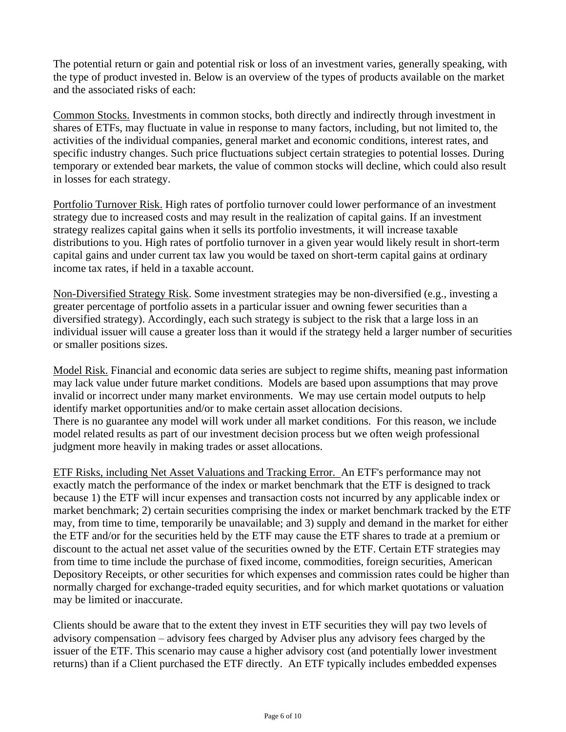The potential return or gain and potential risk or loss of an investment varies, generally speaking, with the type of product invested in. Below is an overview of the types of products available on the market and the associated risks of each:

Common Stocks. Investments in common stocks, both directly and indirectly through investment in shares of ETFs, may fluctuate in value in response to many factors, including, but not limited to, the activities of the individual companies, general market and economic conditions, interest rates, and specific industry changes. Such price fluctuations subject certain strategies to potential losses. During temporary or extended bear markets, the value of common stocks will decline, which could also result in losses for each strategy.

Portfolio Turnover Risk. High rates of portfolio turnover could lower performance of an investment strategy due to increased costs and may result in the realization of capital gains. If an investment strategy realizes capital gains when it sells its portfolio investments, it will increase taxable distributions to you. High rates of portfolio turnover in a given year would likely result in short-term capital gains and under current tax law you would be taxed on short-term capital gains at ordinary income tax rates, if held in a taxable account.

Non-Diversified Strategy Risk. Some investment strategies may be non-diversified (e.g., investing a greater percentage of portfolio assets in a particular issuer and owning fewer securities than a diversified strategy). Accordingly, each such strategy is subject to the risk that a large loss in an individual issuer will cause a greater loss than it would if the strategy held a larger number of securities or smaller positions sizes.

Model Risk. Financial and economic data series are subject to regime shifts, meaning past information may lack value under future market conditions. Models are based upon assumptions that may prove invalid or incorrect under many market environments. We may use certain model outputs to help identify market opportunities and/or to make certain asset allocation decisions. There is no guarantee any model will work under all market conditions. For this reason, we include model related results as part of our investment decision process but we often weigh professional judgment more heavily in making trades or asset allocations.

ETF Risks, including Net Asset Valuations and Tracking Error. An ETF's performance may not exactly match the performance of the index or market benchmark that the ETF is designed to track because 1) the ETF will incur expenses and transaction costs not incurred by any applicable index or market benchmark; 2) certain securities comprising the index or market benchmark tracked by the ETF may, from time to time, temporarily be unavailable; and 3) supply and demand in the market for either the ETF and/or for the securities held by the ETF may cause the ETF shares to trade at a premium or discount to the actual net asset value of the securities owned by the ETF. Certain ETF strategies may from time to time include the purchase of fixed income, commodities, foreign securities, American Depository Receipts, or other securities for which expenses and commission rates could be higher than normally charged for exchange-traded equity securities, and for which market quotations or valuation may be limited or inaccurate.

Clients should be aware that to the extent they invest in ETF securities they will pay two levels of advisory compensation – advisory fees charged by Adviser plus any advisory fees charged by the issuer of the ETF. This scenario may cause a higher advisory cost (and potentially lower investment returns) than if a Client purchased the ETF directly. An ETF typically includes embedded expenses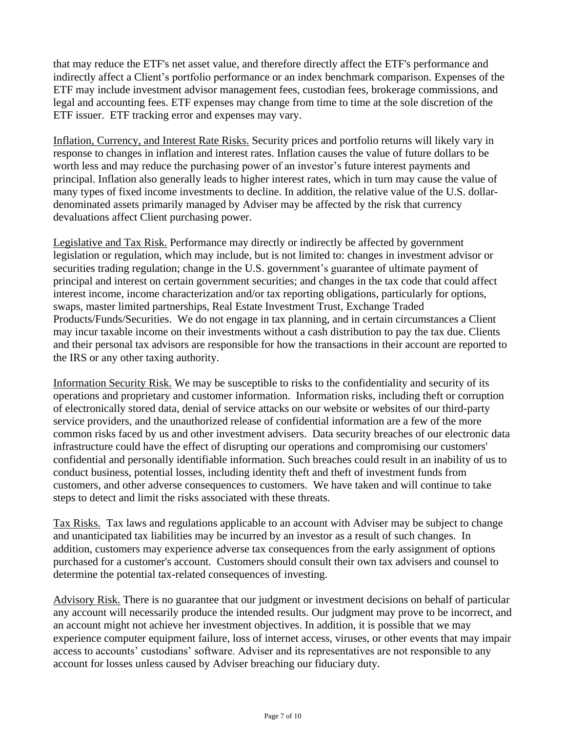that may reduce the ETF's net asset value, and therefore directly affect the ETF's performance and indirectly affect a Client's portfolio performance or an index benchmark comparison. Expenses of the ETF may include investment advisor management fees, custodian fees, brokerage commissions, and legal and accounting fees. ETF expenses may change from time to time at the sole discretion of the ETF issuer. ETF tracking error and expenses may vary.

Inflation, Currency, and Interest Rate Risks. Security prices and portfolio returns will likely vary in response to changes in inflation and interest rates. Inflation causes the value of future dollars to be worth less and may reduce the purchasing power of an investor's future interest payments and principal. Inflation also generally leads to higher interest rates, which in turn may cause the value of many types of fixed income investments to decline. In addition, the relative value of the U.S. dollardenominated assets primarily managed by Adviser may be affected by the risk that currency devaluations affect Client purchasing power.

Legislative and Tax Risk. Performance may directly or indirectly be affected by government legislation or regulation, which may include, but is not limited to: changes in investment advisor or securities trading regulation; change in the U.S. government's guarantee of ultimate payment of principal and interest on certain government securities; and changes in the tax code that could affect interest income, income characterization and/or tax reporting obligations, particularly for options, swaps, master limited partnerships, Real Estate Investment Trust, Exchange Traded Products/Funds/Securities. We do not engage in tax planning, and in certain circumstances a Client may incur taxable income on their investments without a cash distribution to pay the tax due. Clients and their personal tax advisors are responsible for how the transactions in their account are reported to the IRS or any other taxing authority.

Information Security Risk. We may be susceptible to risks to the confidentiality and security of its operations and proprietary and customer information. Information risks, including theft or corruption of electronically stored data, denial of service attacks on our website or websites of our third-party service providers, and the unauthorized release of confidential information are a few of the more common risks faced by us and other investment advisers. Data security breaches of our electronic data infrastructure could have the effect of disrupting our operations and compromising our customers' confidential and personally identifiable information. Such breaches could result in an inability of us to conduct business, potential losses, including identity theft and theft of investment funds from customers, and other adverse consequences to customers. We have taken and will continue to take steps to detect and limit the risks associated with these threats.

Tax Risks. Tax laws and regulations applicable to an account with Adviser may be subject to change and unanticipated tax liabilities may be incurred by an investor as a result of such changes. In addition, customers may experience adverse tax consequences from the early assignment of options purchased for a customer's account. Customers should consult their own tax advisers and counsel to determine the potential tax-related consequences of investing.

Advisory Risk. There is no guarantee that our judgment or investment decisions on behalf of particular any account will necessarily produce the intended results. Our judgment may prove to be incorrect, and an account might not achieve her investment objectives. In addition, it is possible that we may experience computer equipment failure, loss of internet access, viruses, or other events that may impair access to accounts' custodians' software. Adviser and its representatives are not responsible to any account for losses unless caused by Adviser breaching our fiduciary duty.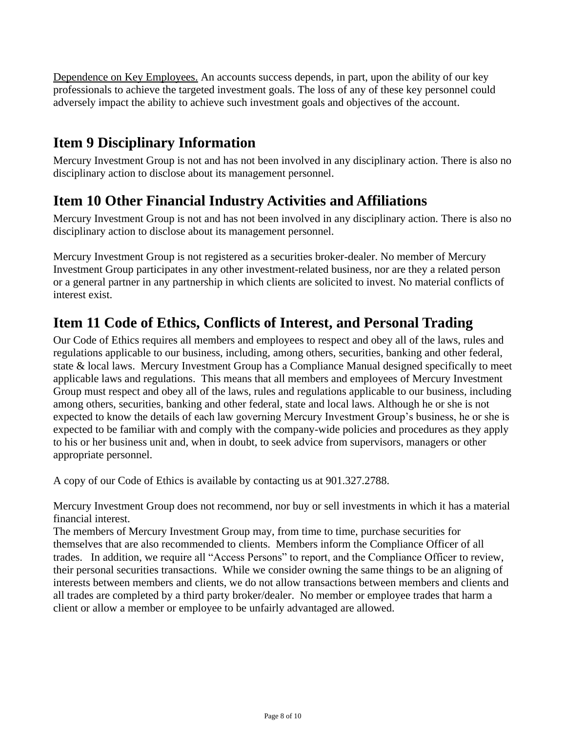Dependence on Key Employees. An accounts success depends, in part, upon the ability of our key professionals to achieve the targeted investment goals. The loss of any of these key personnel could adversely impact the ability to achieve such investment goals and objectives of the account.

## **Item 9 Disciplinary Information**

Mercury Investment Group is not and has not been involved in any disciplinary action. There is also no disciplinary action to disclose about its management personnel.

### **Item 10 Other Financial Industry Activities and Affiliations**

Mercury Investment Group is not and has not been involved in any disciplinary action. There is also no disciplinary action to disclose about its management personnel.

Mercury Investment Group is not registered as a securities broker-dealer. No member of Mercury Investment Group participates in any other investment-related business, nor are they a related person or a general partner in any partnership in which clients are solicited to invest. No material conflicts of interest exist.

### **Item 11 Code of Ethics, Conflicts of Interest, and Personal Trading**

Our Code of Ethics requires all members and employees to respect and obey all of the laws, rules and regulations applicable to our business, including, among others, securities, banking and other federal, state & local laws. Mercury Investment Group has a Compliance Manual designed specifically to meet applicable laws and regulations. This means that all members and employees of Mercury Investment Group must respect and obey all of the laws, rules and regulations applicable to our business, including among others, securities, banking and other federal, state and local laws. Although he or she is not expected to know the details of each law governing Mercury Investment Group's business, he or she is expected to be familiar with and comply with the company-wide policies and procedures as they apply to his or her business unit and, when in doubt, to seek advice from supervisors, managers or other appropriate personnel.

A copy of our Code of Ethics is available by contacting us at 901.327.2788.

Mercury Investment Group does not recommend, nor buy or sell investments in which it has a material financial interest.

The members of Mercury Investment Group may, from time to time, purchase securities for themselves that are also recommended to clients. Members inform the Compliance Officer of all trades. In addition, we require all "Access Persons" to report, and the Compliance Officer to review, their personal securities transactions. While we consider owning the same things to be an aligning of interests between members and clients, we do not allow transactions between members and clients and all trades are completed by a third party broker/dealer. No member or employee trades that harm a client or allow a member or employee to be unfairly advantaged are allowed.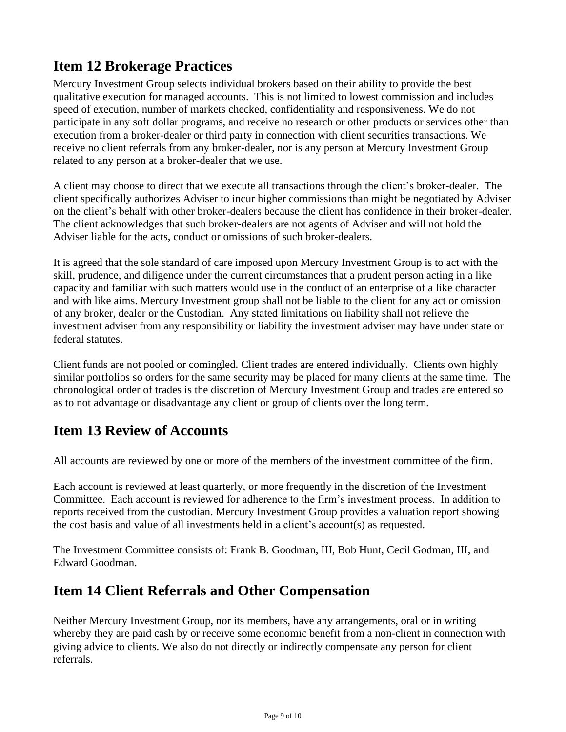## **Item 12 Brokerage Practices**

Mercury Investment Group selects individual brokers based on their ability to provide the best qualitative execution for managed accounts. This is not limited to lowest commission and includes speed of execution, number of markets checked, confidentiality and responsiveness. We do not participate in any soft dollar programs, and receive no research or other products or services other than execution from a broker-dealer or third party in connection with client securities transactions. We receive no client referrals from any broker-dealer, nor is any person at Mercury Investment Group related to any person at a broker-dealer that we use.

A client may choose to direct that we execute all transactions through the client's broker-dealer. The client specifically authorizes Adviser to incur higher commissions than might be negotiated by Adviser on the client's behalf with other broker-dealers because the client has confidence in their broker-dealer. The client acknowledges that such broker-dealers are not agents of Adviser and will not hold the Adviser liable for the acts, conduct or omissions of such broker-dealers.

It is agreed that the sole standard of care imposed upon Mercury Investment Group is to act with the skill, prudence, and diligence under the current circumstances that a prudent person acting in a like capacity and familiar with such matters would use in the conduct of an enterprise of a like character and with like aims. Mercury Investment group shall not be liable to the client for any act or omission of any broker, dealer or the Custodian. Any stated limitations on liability shall not relieve the investment adviser from any responsibility or liability the investment adviser may have under state or federal statutes.

Client funds are not pooled or comingled. Client trades are entered individually. Clients own highly similar portfolios so orders for the same security may be placed for many clients at the same time. The chronological order of trades is the discretion of Mercury Investment Group and trades are entered so as to not advantage or disadvantage any client or group of clients over the long term.

### **Item 13 Review of Accounts**

All accounts are reviewed by one or more of the members of the investment committee of the firm.

Each account is reviewed at least quarterly, or more frequently in the discretion of the Investment Committee. Each account is reviewed for adherence to the firm's investment process. In addition to reports received from the custodian. Mercury Investment Group provides a valuation report showing the cost basis and value of all investments held in a client's account(s) as requested.

The Investment Committee consists of: Frank B. Goodman, III, Bob Hunt, Cecil Godman, III, and Edward Goodman.

### **Item 14 Client Referrals and Other Compensation**

Neither Mercury Investment Group, nor its members, have any arrangements, oral or in writing whereby they are paid cash by or receive some economic benefit from a non-client in connection with giving advice to clients. We also do not directly or indirectly compensate any person for client referrals.